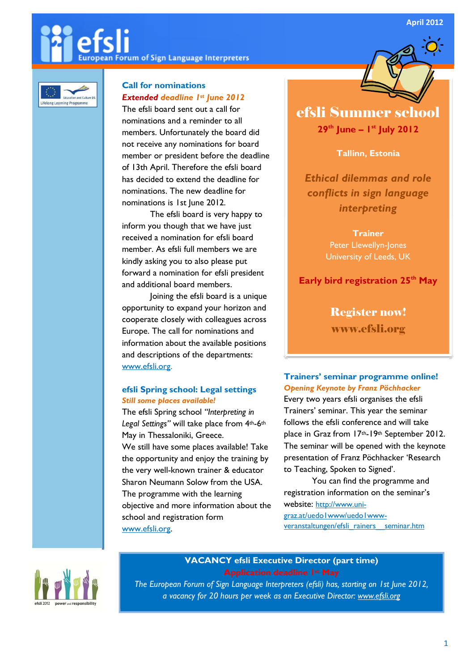April 2012

# European Forum of Sign Language Interpreters



# Call for nominations Extended deadline 1st June 2012

The efsli board sent out a call for nominations and a reminder to all members. Unfortunately the board did not receive any nominations for board member or president before the deadline of 13th April. Therefore the efsli board has decided to extend the deadline for nominations. The new deadline for nominations is 1st June 2012.

The efsli board is very happy to inform you though that we have just received a nomination for efsli board member. As efsli full members we are kindly asking you to also please put forward a nomination for efsli president and additional board members.

Joining the efsli board is a unique opportunity to expand your horizon and cooperate closely with colleagues across Europe. The call for nominations and information about the available positions and descriptions of the departments: www.efsli.org.

### efsli Spring school: Legal settings Still some places available!

The efsli Spring school "Interpreting in Legal Settings" will take place from 4th-6th May in Thessaloniki, Greece. We still have some places available! Take the opportunity and enjoy the training by the very well-known trainer & educator Sharon Neumann Solow from the USA. The programme with the learning objective and more information about the school and registration form www.efsli.org.

# efsli Summer school  $29<sup>th</sup>$  June –  $1<sup>st</sup>$  July 2012

Ī

### Tallinn, Estonia

Ethical dilemmas and role conflicts in sign language interpreting

> **Trainer** Peter Llewellyn-Jones University of Leeds, UK

Early bird registration 25<sup>th</sup> May

Register now! www.efsli.org

Trainers' seminar programme online! Opening Keynote by Franz Pöchhacker Every two years efsli organises the efsli Trainers' seminar. This year the seminar follows the efsli conference and will take place in Graz from 17th-19th September 2012. The seminar will be opened with the keynote presentation of Franz Pöchhacker 'Research to Teaching, Spoken to Signed'.

You can find the programme and registration information on the seminar's website: http://www.unigraz.at/uedo1www/uedo1wwwveranstaltungen/efsli\_rainers\_\_seminar.htm



### VACANCY efsli Executive Director (part time)

The European Forum of Sign Language Interpreters (efsli) has, starting on 1st June 2012, a vacancy for 20 hours per week as an Executive Director: www.efsli.org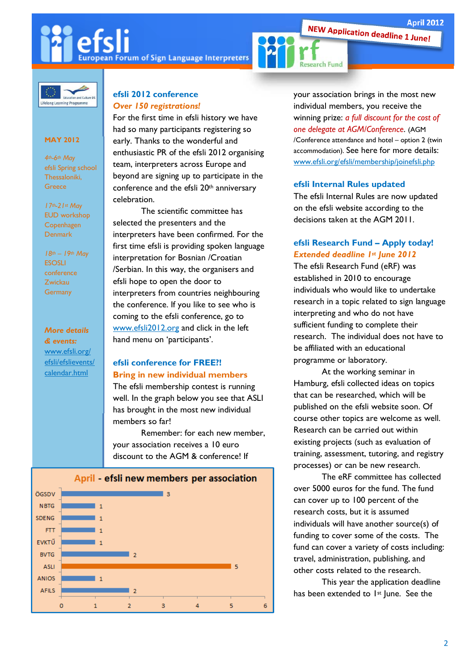April 2012<br>NEW Application deadline 1 June!

**European Forum of Sign Language Interpreters** 



and Cult Lifelong Learning Programme

#### MAY 2012

4th-6th May efsli Spring school Thessaloniki, **Greece** 

17th-21st May EUD workshop Copenhagen Denmark

 $18th - 19th$  May **ESOSLI** conference Zwickau **Germany** 

## More details

& events: www.efsli.org/ efsli/efslievents/ calendar.html

#### efsli 2012 conference Over 150 registrations!

For the first time in efsli history we have had so many participants registering so early. Thanks to the wonderful and enthusiastic PR of the efsli 2012 organising team, interpreters across Europe and beyond are signing up to participate in the conference and the efsli 20th anniversary celebration.

 The scientific committee has selected the presenters and the interpreters have been confirmed. For the first time efsli is providing spoken language interpretation for Bosnian /Croatian /Serbian. In this way, the organisers and efsli hope to open the door to interpreters from countries neighbouring the conference. If you like to see who is coming to the efsli conference, go to www.efsli2012.org and click in the left hand menu on 'participants'.

#### efsli conference for FREE?! Bring in new individual members

The efsli membership contest is running well. In the graph below you see that ASLI has brought in the most new individual members so far!

Remember: for each new member, your association receives a 10 euro discount to the AGM & conference! If



your association brings in the most new individual members, you receive the winning prize: a full discount for the cost of one delegate at AGM/Conference. (AGM /Conference attendance and hotel – option 2 (twin accommodation). See here for more details: www.efsli.org/efsli/membership/joinefsli.php

#### efsli Internal Rules updated

The efsli Internal Rules are now updated on the efsli website according to the decisions taken at the AGM 2011.

#### efsli Research Fund – Apply today! Extended deadline 1st June 2012

The efsli Research Fund (eRF) was established in 2010 to encourage individuals who would like to undertake research in a topic related to sign language interpreting and who do not have sufficient funding to complete their research. The individual does not have to be affiliated with an educational programme or laboratory.

 At the working seminar in Hamburg, efsli collected ideas on topics that can be researched, which will be published on the efsli website soon. Of course other topics are welcome as well. Research can be carried out within existing projects (such as evaluation of training, assessment, tutoring, and registry processes) or can be new research.

 The eRF committee has collected over 5000 euros for the fund. The fund can cover up to 100 percent of the research costs, but it is assumed individuals will have another source(s) of funding to cover some of the costs. The fund can cover a variety of costs including: travel, administration, publishing, and other costs related to the research.

This year the application deadline has been extended to 1<sup>st</sup> June. See the